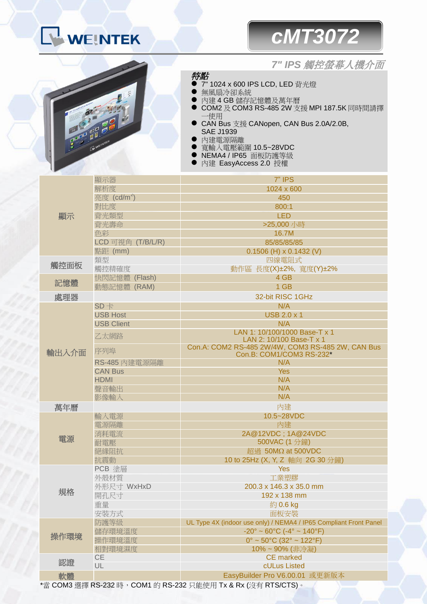

## *cMT3072*



*7" IPS* 觸控螢幕人機介面

## 特點

- 7" 1024 x 600 IPS LCD, LED 背光燈
- 無風扇冷卻系統
- 內建4GB儲存記憶體及萬年曆
- COM2 及 COM3 RS-485 2W 支援 MPI 187.5K 同時間請擇 一使用
- CAN Bus 支援 CANopen, CAN Bus 2.0A/2.0B, SAE J1939
- 內建電源隔離
- 寬輸入電壓範圍 10.5~28VDC
- NEMA4 / IP65 面板防護等級
- 內建 EasyAccess 2.0 授權

| 顯示    | 顯示器                     | 7" IPS                                                                        |
|-------|-------------------------|-------------------------------------------------------------------------------|
|       | 解析度                     | 1024 x 600                                                                    |
|       | 亮度 (cd/m <sup>2</sup> ) | 450                                                                           |
|       | 對比度                     | 800:1                                                                         |
|       | 背光類型                    | <b>LED</b>                                                                    |
|       | 背光壽命                    | >25,000 小時                                                                    |
|       | 色彩                      | 16.7M                                                                         |
|       | LCD 可視角 (T/B/L/R)       | 85/85/85/85                                                                   |
|       | 點距 (mm)                 | $0.1506$ (H) x $0.1432$ (V)                                                   |
| 觸控面板  | 類型                      | 四線電阻式                                                                         |
|       | 觸控精確度                   | 動作區 長度(X)±2%, 寬度(Y)±2%                                                        |
|       | 快閃記憶體 (Flash)           | 4 GB                                                                          |
| 記憶體   | 動態記憶體 (RAM)             | 1 GB                                                                          |
| 處理器   |                         | 32-bit RISC 1GHz                                                              |
| 輸出入介面 | $SD +$                  | N/A                                                                           |
|       | <b>USB Host</b>         | <b>USB 2.0 x 1</b>                                                            |
|       | <b>USB Client</b>       | N/A                                                                           |
|       |                         | LAN 1: 10/100/1000 Base-T x 1                                                 |
|       | 乙太網路                    | LAN 2: 10/100 Base-T x 1                                                      |
|       | 序列埠                     | Con.A: COM2 RS-485 2W/4W, COM3 RS-485 2W, CAN Bus<br>Con.B: COM1/COM3 RS-232* |
|       | RS-485 內建電源隔離           | N/A                                                                           |
|       | <b>CAN Bus</b>          | <b>Yes</b>                                                                    |
|       | <b>HDMI</b>             | N/A                                                                           |
|       | 聲音輸出                    | N/A                                                                           |
|       | 影像輸入                    | N/A                                                                           |
| 萬年曆   |                         | 內建                                                                            |
| 電源    | 輸入電源                    | 10.5~28VDC                                                                    |
|       | 電源隔離                    | 內建                                                                            |
|       | 消耗電流                    | 2A@12VDC; 1A@24VDC                                                            |
|       | 耐電壓                     | 500VAC (1分鐘)                                                                  |
|       | 絕緣阻抗                    | 超過 50MΩ at 500VDC                                                             |
|       | 抗震動                     | 10 to 25Hz (X, Y, Z 軸向 2G 30 分鐘)                                              |
| 規格    | PCB 塗層                  | <b>Yes</b>                                                                    |
|       | 外殼材質                    | 工業塑膠                                                                          |
|       | 外形尺寸 WxHxD              | 200.3 x 146.3 x 35.0 mm                                                       |
|       | 開孔尺寸                    | 192 x 138 mm                                                                  |
|       | 重量                      | 約0.6 kg                                                                       |
|       | 安裝方式                    | 面板安裝                                                                          |
| 操作環境  | 防護等級                    | UL Type 4X (indoor use only) / NEMA4 / IP65 Compliant Front Panel             |
|       | 儲存環境溫度                  | $-20^{\circ} \sim 60^{\circ}$ C ( $-4^{\circ} \sim 140^{\circ}$ F)            |
|       | 操作環境溫度                  | $0^{\circ}$ ~ 50°C (32° ~ 122°F)                                              |
|       | 相對環境濕度                  | 10%~90% (非冷凝)                                                                 |
| 認證    | <b>CE</b>               | <b>CE</b> marked                                                              |
|       | UL                      | cULus Listed                                                                  |
| 軟體    |                         | EasyBuilder Pro V6.00.01 或更新版本                                                |

\*當 COM3 選擇 RS-232 時,COM1 的 RS-232 只能使用 Tx & Rx (沒有 RTS/CTS)。